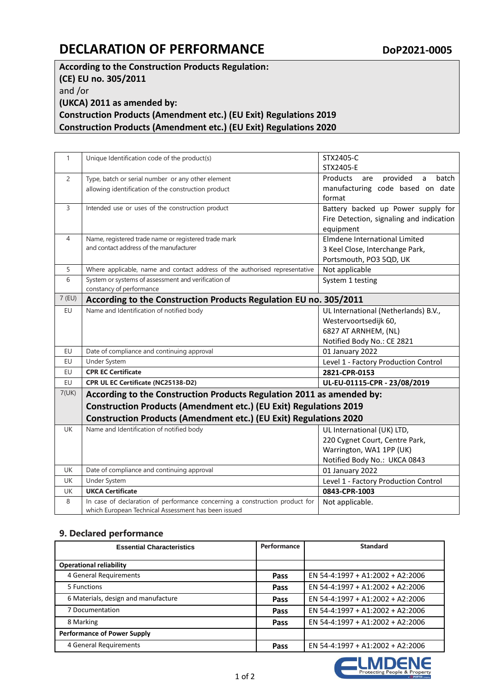## **DECLARATION OF PERFORMANCE** Dop2021-0005

**According to the Construction Products Regulation: (CE) EU no. 305/2011** and /or **(UKCA) 2011 as amended by: Construction Products (Amendment etc.) (EU Exit) Regulations 2019 Construction Products (Amendment etc.) (EU Exit) Regulations 2020**

| $\mathbf{1}$   | Unique Identification code of the product(s)                                                                                               | STX2405-C                                            |  |  |
|----------------|--------------------------------------------------------------------------------------------------------------------------------------------|------------------------------------------------------|--|--|
|                |                                                                                                                                            | STX2405-E                                            |  |  |
| $\overline{2}$ | Type, batch or serial number or any other element                                                                                          | Products<br>provided<br>$\mathsf{a}$<br>batch<br>are |  |  |
|                | allowing identification of the construction product                                                                                        | manufacturing code based on date                     |  |  |
|                |                                                                                                                                            | format                                               |  |  |
| 3              | Intended use or uses of the construction product                                                                                           | Battery backed up Power supply for                   |  |  |
|                |                                                                                                                                            | Fire Detection, signaling and indication             |  |  |
|                |                                                                                                                                            | equipment                                            |  |  |
| 4              | Name, registered trade name or registered trade mark                                                                                       | Elmdene International Limited                        |  |  |
|                | and contact address of the manufacturer                                                                                                    | 3 Keel Close, Interchange Park,                      |  |  |
|                |                                                                                                                                            | Portsmouth, PO3 5QD, UK                              |  |  |
| 5              | Where applicable, name and contact address of the authorised representative                                                                | Not applicable                                       |  |  |
| 6              | System or systems of assessment and verification of                                                                                        | System 1 testing                                     |  |  |
|                | constancy of performance                                                                                                                   |                                                      |  |  |
| $7$ (EU)       | According to the Construction Products Regulation EU no. 305/2011                                                                          |                                                      |  |  |
| EU             | Name and Identification of notified body                                                                                                   | UL International (Netherlands) B.V.,                 |  |  |
|                |                                                                                                                                            | Westervoortsedijk 60,                                |  |  |
|                |                                                                                                                                            | 6827 AT ARNHEM, (NL)                                 |  |  |
|                |                                                                                                                                            | Notified Body No.: CE 2821                           |  |  |
| EU             | Date of compliance and continuing approval                                                                                                 | 01 January 2022                                      |  |  |
| EU             | Under System                                                                                                                               | Level 1 - Factory Production Control                 |  |  |
| EU             | <b>CPR EC Certificate</b>                                                                                                                  | 2821-CPR-0153                                        |  |  |
| EU             | CPR UL EC Certificate (NC25138-D2)                                                                                                         | UL-EU-01115-CPR - 23/08/2019                         |  |  |
| 7(UK)          | According to the Construction Products Regulation 2011 as amended by:<br>Construction Products (Amendment etc.) (EU Exit) Regulations 2019 |                                                      |  |  |
|                |                                                                                                                                            |                                                      |  |  |
|                | Construction Products (Amendment etc.) (EU Exit) Regulations 2020                                                                          |                                                      |  |  |
| <b>UK</b>      | Name and Identification of notified body                                                                                                   | UL International (UK) LTD,                           |  |  |
|                |                                                                                                                                            | 220 Cygnet Court, Centre Park,                       |  |  |
|                |                                                                                                                                            | Warrington, WA1 1PP (UK)                             |  |  |
|                |                                                                                                                                            | Notified Body No.: UKCA 0843                         |  |  |
| <b>UK</b>      | Date of compliance and continuing approval                                                                                                 | 01 January 2022                                      |  |  |
| <b>UK</b>      | Under System                                                                                                                               | Level 1 - Factory Production Control                 |  |  |
| UK             | <b>UKCA Certificate</b>                                                                                                                    | 0843-CPR-1003                                        |  |  |
| 8              | In case of declaration of performance concerning a construction product for                                                                | Not applicable.                                      |  |  |
|                | which European Technical Assessment has been issued                                                                                        |                                                      |  |  |

## **9. Declared performance**

| <b>Essential Characteristics</b>    | Performance | <b>Standard</b>                  |
|-------------------------------------|-------------|----------------------------------|
|                                     |             |                                  |
| <b>Operational reliability</b>      |             |                                  |
| 4 General Requirements              | Pass        | EN 54-4:1997 + A1:2002 + A2:2006 |
| 5 Functions                         | Pass        | EN 54-4:1997 + A1:2002 + A2:2006 |
| 6 Materials, design and manufacture | Pass        | EN 54-4:1997 + A1:2002 + A2:2006 |
| 7 Documentation                     | Pass        | EN 54-4:1997 + A1:2002 + A2:2006 |
| 8 Marking                           | Pass        | EN 54-4:1997 + A1:2002 + A2:2006 |
| <b>Performance of Power Supply</b>  |             |                                  |
| 4 General Requirements              | Pass        | EN 54-4:1997 + A1:2002 + A2:2006 |